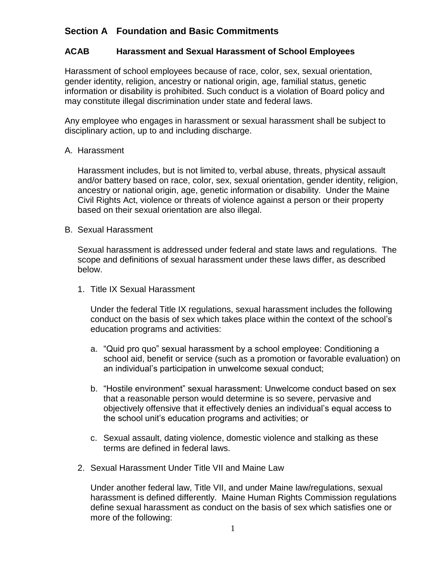## **Section A Foundation and Basic Commitments**

## **ACAB Harassment and Sexual Harassment of School Employees**

Harassment of school employees because of race, color, sex, sexual orientation, gender identity, religion, ancestry or national origin, age, familial status, genetic information or disability is prohibited. Such conduct is a violation of Board policy and may constitute illegal discrimination under state and federal laws.

Any employee who engages in harassment or sexual harassment shall be subject to disciplinary action, up to and including discharge.

## A. Harassment

Harassment includes, but is not limited to, verbal abuse, threats, physical assault and/or battery based on race, color, sex, sexual orientation, gender identity, religion, ancestry or national origin, age, genetic information or disability. Under the Maine Civil Rights Act, violence or threats of violence against a person or their property based on their sexual orientation are also illegal.

## B. Sexual Harassment

Sexual harassment is addressed under federal and state laws and regulations. The scope and definitions of sexual harassment under these laws differ, as described below.

1. Title IX Sexual Harassment

Under the federal Title IX regulations, sexual harassment includes the following conduct on the basis of sex which takes place within the context of the school's education programs and activities:

- a. "Quid pro quo" sexual harassment by a school employee: Conditioning a school aid, benefit or service (such as a promotion or favorable evaluation) on an individual's participation in unwelcome sexual conduct;
- b. "Hostile environment" sexual harassment: Unwelcome conduct based on sex that a reasonable person would determine is so severe, pervasive and objectively offensive that it effectively denies an individual's equal access to the school unit's education programs and activities; or
- c. Sexual assault, dating violence, domestic violence and stalking as these terms are defined in federal laws.
- 2. Sexual Harassment Under Title VII and Maine Law

Under another federal law, Title VII, and under Maine law/regulations, sexual harassment is defined differently. Maine Human Rights Commission regulations define sexual harassment as conduct on the basis of sex which satisfies one or more of the following: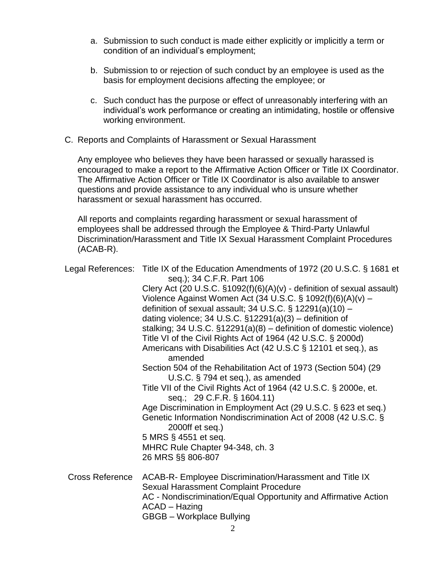- a. Submission to such conduct is made either explicitly or implicitly a term or condition of an individual's employment;
- b. Submission to or rejection of such conduct by an employee is used as the basis for employment decisions affecting the employee; or
- c. Such conduct has the purpose or effect of unreasonably interfering with an individual's work performance or creating an intimidating, hostile or offensive working environment.
- C. Reports and Complaints of Harassment or Sexual Harassment

Any employee who believes they have been harassed or sexually harassed is encouraged to make a report to the Affirmative Action Officer or Title IX Coordinator. The Affirmative Action Officer or Title IX Coordinator is also available to answer questions and provide assistance to any individual who is unsure whether harassment or sexual harassment has occurred.

All reports and complaints regarding harassment or sexual harassment of employees shall be addressed through the Employee & Third-Party Unlawful Discrimination/Harassment and Title IX Sexual Harassment Complaint Procedures (ACAB-R).

|                        | Legal References: Title IX of the Education Amendments of 1972 (20 U.S.C. § 1681 et<br>seq.); 34 C.F.R. Part 106 |
|------------------------|------------------------------------------------------------------------------------------------------------------|
|                        | Clery Act (20 U.S.C. $$1092(f)(6)(A)(v)$ - definition of sexual assault)                                         |
|                        | Violence Against Women Act (34 U.S.C. § 1092(f)(6)(A)(v) -                                                       |
|                        | definition of sexual assault; 34 U.S.C. $\S$ 12291(a)(10) –                                                      |
|                        | dating violence; 34 U.S.C. $\S$ 12291(a)(3) – definition of                                                      |
|                        | stalking; 34 U.S.C. $\S$ 12291(a)(8) – definition of domestic violence)                                          |
|                        | Title VI of the Civil Rights Act of 1964 (42 U.S.C. § 2000d)                                                     |
|                        | Americans with Disabilities Act (42 U.S.C § 12101 et seq.), as<br>amended                                        |
|                        | Section 504 of the Rehabilitation Act of 1973 (Section 504) (29<br>U.S.C. § 794 et seq.), as amended             |
|                        | Title VII of the Civil Rights Act of 1964 (42 U.S.C. § 2000e, et.<br>seq.; 29 C.F.R. § 1604.11)                  |
|                        | Age Discrimination in Employment Act (29 U.S.C. § 623 et seq.)                                                   |
|                        | Genetic Information Nondiscrimination Act of 2008 (42 U.S.C. §<br>2000ff et seq.)                                |
|                        | 5 MRS § 4551 et seq.                                                                                             |
|                        | MHRC Rule Chapter 94-348, ch. 3                                                                                  |
|                        | 26 MRS §§ 806-807                                                                                                |
| <b>Cross Reference</b> | ACAB-R- Employee Discrimination/Harassment and Title IX<br>Sexual Harassment Complaint Procedure                 |
|                        | AC - Nondiscrimination/Equal Opportunity and Affirmative Action<br>ACAD - Hazing                                 |
|                        | <b>GBGB</b> - Workplace Bullying                                                                                 |